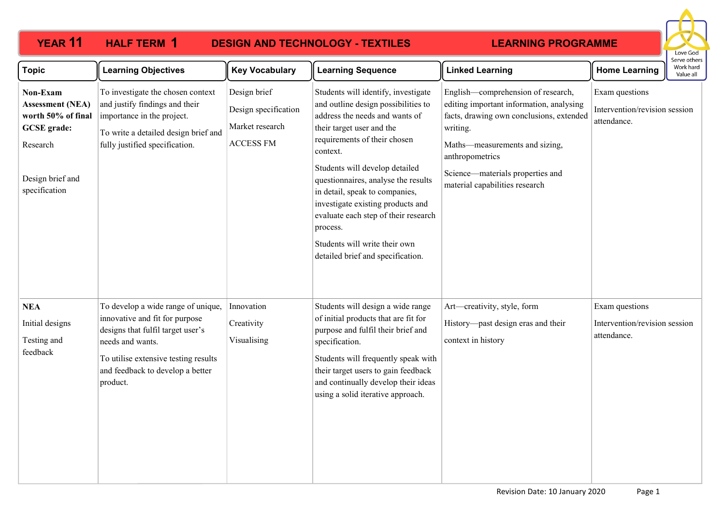| <b>YEAR 11</b>                                                                                                                   | <b>HALF TERM 1</b><br><b>DESIGN AND TECHNOLOGY - TEXTILES</b>                                                                                                                                                         |                                                                             |                                                                                                                                                                                                                                                                                                                                                                                                                                                                 | <b>LEARNING PROGRAMME</b>                                                                                                                                                                                                                                         |                                                                |                                        |
|----------------------------------------------------------------------------------------------------------------------------------|-----------------------------------------------------------------------------------------------------------------------------------------------------------------------------------------------------------------------|-----------------------------------------------------------------------------|-----------------------------------------------------------------------------------------------------------------------------------------------------------------------------------------------------------------------------------------------------------------------------------------------------------------------------------------------------------------------------------------------------------------------------------------------------------------|-------------------------------------------------------------------------------------------------------------------------------------------------------------------------------------------------------------------------------------------------------------------|----------------------------------------------------------------|----------------------------------------|
| <b>Topic</b>                                                                                                                     | <b>Learning Objectives</b>                                                                                                                                                                                            | <b>Key Vocabulary</b>                                                       | <b>Learning Sequence</b>                                                                                                                                                                                                                                                                                                                                                                                                                                        | <b>Linked Learning</b>                                                                                                                                                                                                                                            | <b>Home Learning</b>                                           | Serve others<br>Work hard<br>Value all |
| Non-Exam<br><b>Assessment (NEA)</b><br>worth 50% of final<br><b>GCSE</b> grade:<br>Research<br>Design brief and<br>specification | To investigate the chosen context<br>and justify findings and their<br>importance in the project.<br>To write a detailed design brief and<br>fully justified specification.                                           | Design brief<br>Design specification<br>Market research<br><b>ACCESS FM</b> | Students will identify, investigate<br>and outline design possibilities to<br>address the needs and wants of<br>their target user and the<br>requirements of their chosen<br>context.<br>Students will develop detailed<br>questionnaires, analyse the results<br>in detail, speak to companies,<br>investigate existing products and<br>evaluate each step of their research<br>process.<br>Students will write their own<br>detailed brief and specification. | English—comprehension of research,<br>editing important information, analysing<br>facts, drawing own conclusions, extended<br>writing.<br>Maths-measurements and sizing,<br>anthropometrics<br>Science—materials properties and<br>material capabilities research | Exam questions<br>Intervention/revision session<br>attendance. |                                        |
| <b>NEA</b><br>Initial designs<br>Testing and<br>feedback                                                                         | To develop a wide range of unique,<br>innovative and fit for purpose<br>designs that fulfil target user's<br>needs and wants.<br>To utilise extensive testing results<br>and feedback to develop a better<br>product. | Innovation<br>Creativity<br>Visualising                                     | Students will design a wide range<br>of initial products that are fit for<br>purpose and fulfil their brief and<br>specification.<br>Students will frequently speak with<br>their target users to gain feedback<br>and continually develop their ideas<br>using a solid iterative approach.                                                                                                                                                                     | Art-creativity, style, form<br>History—past design eras and their<br>context in history                                                                                                                                                                           | Exam questions<br>Intervention/revision session<br>attendance. |                                        |